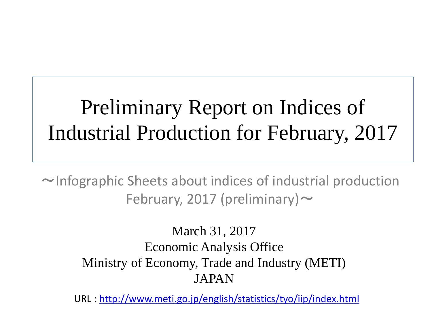# Preliminary Report on Indices of Industrial Production for February, 2017

 $\sim$ Infographic Sheets about indices of industrial production February, 2017 (preliminary)  $\sim$ 

> March 31, 2017 Economic Analysis Office Ministry of Economy, Trade and Industry (METI) JAPAN

URL :<http://www.meti.go.jp/english/statistics/tyo/iip/index.html>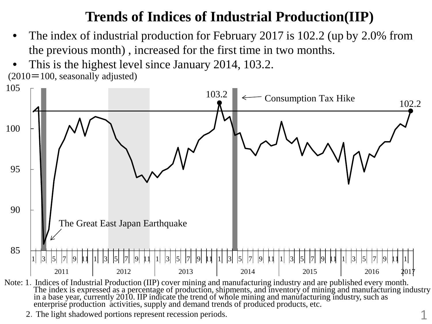### **Trends of Indices of Industrial Production(IIP)**

- The index of industrial production for February 2017 is 102.2 (up by 2.0% from the previous month) , increased for the first time in two months.
- This is the highest level since January 2014, 103.2.  $(2010=100,$  seasonally adjusted)



Note: 1. Indices of Industrial Production (IIP) cover mining and manufacturing industry and are published every month.<br>The index is expressed as a percentage of production, shipments, and inventory of mining and manufactur

2.The light shadowed portions represent recession periods.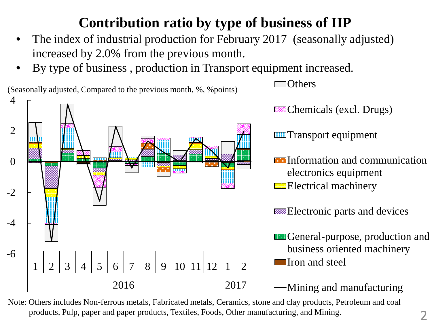## **Contribution ratio by type of business of IIP**

- The index of industrial production for February 2017 (seasonally adjusted) increased by 2.0% from the previous month.
- By type of business , production in Transport equipment increased.



Note: Others includes Non-ferrous metals, Fabricated metals, Ceramics, stone and clay products, Petroleum and coal products, Pulp, paper and paper products, Textiles, Foods, Other manufacturing, and Mining.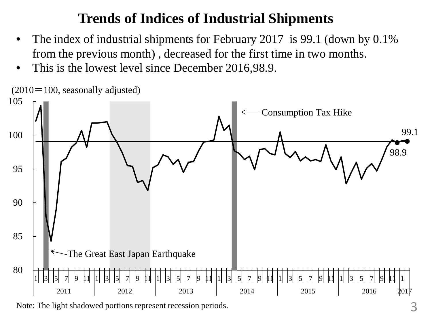#### **Trends of Indices of Industrial Shipments**

- The index of industrial shipments for February 2017 is 99.1 (down by 0.1%) from the previous month) , decreased for the first time in two months.
- This is the lowest level since December 2016,98.9.



Note: The light shadowed portions represent recession periods.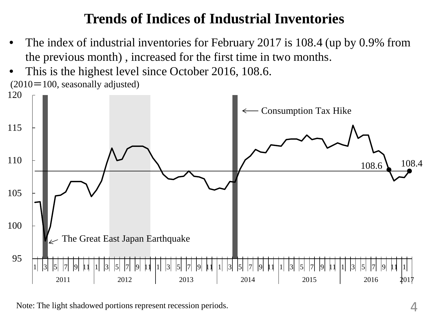#### **Trends of Indices of Industrial Inventories**

- The index of industrial inventories for February 2017 is 108.4 (up by 0.9% from the previous month) , increased for the first time in two months.
- This is the highest level since October 2016, 108.6. 120  $(2010=100,$  seasonally adjusted)



Note: The light shadowed portions represent recession periods.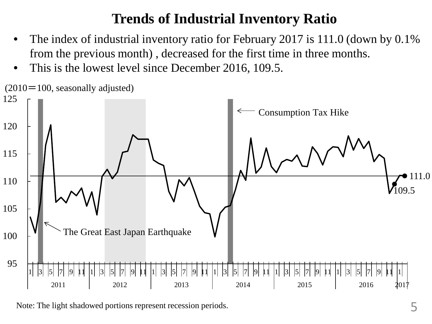#### **Trends of Industrial Inventory Ratio**

- The index of industrial inventory ratio for February 2017 is 111.0 (down by 0.1% from the previous month) , decreased for the first time in three months.
- This is the lowest level since December 2016, 109.5.



Note: The light shadowed portions represent recession periods.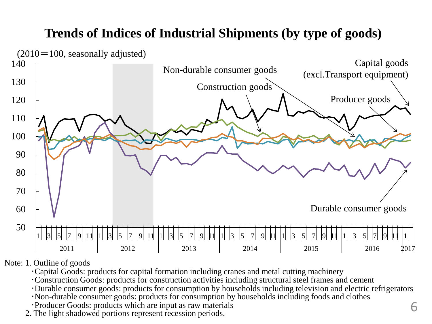#### **Trends of Indices of Industrial Shipments (by type of goods)**



Note: 1. Outline of goods

- ・Capital Goods: products for capital formation including cranes and metal cutting machinery
- ・Construction Goods: products for construction activities including structural steel frames and cement
- ・Durable consumer goods: products for consumption by households including television and electric refrigerators ・Non-durable consumer goods: products for consumption by households including foods and clothes
- 
- ・Producer Goods: products which are input as raw materials 2. The light shadowed portions represent recession periods.
-